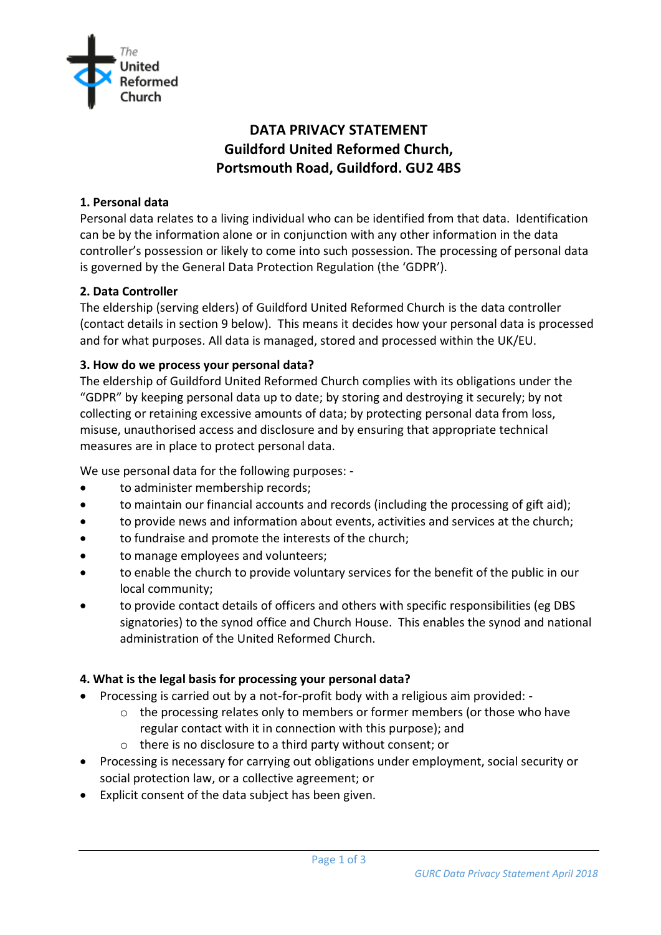

# **DATA PRIVACY STATEMENT Guildford United Reformed Church, Portsmouth Road, Guildford. GU2 4BS**

## **1. Personal data**

Personal data relates to a living individual who can be identified from that data. Identification can be by the information alone or in conjunction with any other information in the data controller's possession or likely to come into such possession. The processing of personal data is governed by the General Data Protection Regulation (the 'GDPR').

#### **2. Data Controller**

The eldership (serving elders) of Guildford United Reformed Church is the data controller (contact details in section 9 below). This means it decides how your personal data is processed and for what purposes. All data is managed, stored and processed within the UK/EU.

#### **3. How do we process your personal data?**

The eldership of Guildford United Reformed Church complies with its obligations under the "GDPR" by keeping personal data up to date; by storing and destroying it securely; by not collecting or retaining excessive amounts of data; by protecting personal data from loss, misuse, unauthorised access and disclosure and by ensuring that appropriate technical measures are in place to protect personal data.

We use personal data for the following purposes: -

- to administer membership records;
- to maintain our financial accounts and records (including the processing of gift aid);
- to provide news and information about events, activities and services at the church;
- to fundraise and promote the interests of the church;
- to manage employees and volunteers:
- to enable the church to provide voluntary services for the benefit of the public in our local community;
- to provide contact details of officers and others with specific responsibilities (eg DBS signatories) to the synod office and Church House. This enables the synod and national administration of the United Reformed Church.

#### **4. What is the legal basis for processing your personal data?**

- Processing is carried out by a not-for-profit body with a religious aim provided:
	- $\circ$  the processing relates only to members or former members (or those who have regular contact with it in connection with this purpose); and
	- o there is no disclosure to a third party without consent; or
- Processing is necessary for carrying out obligations under employment, social security or social protection law, or a collective agreement; or
- Explicit consent of the data subject has been given.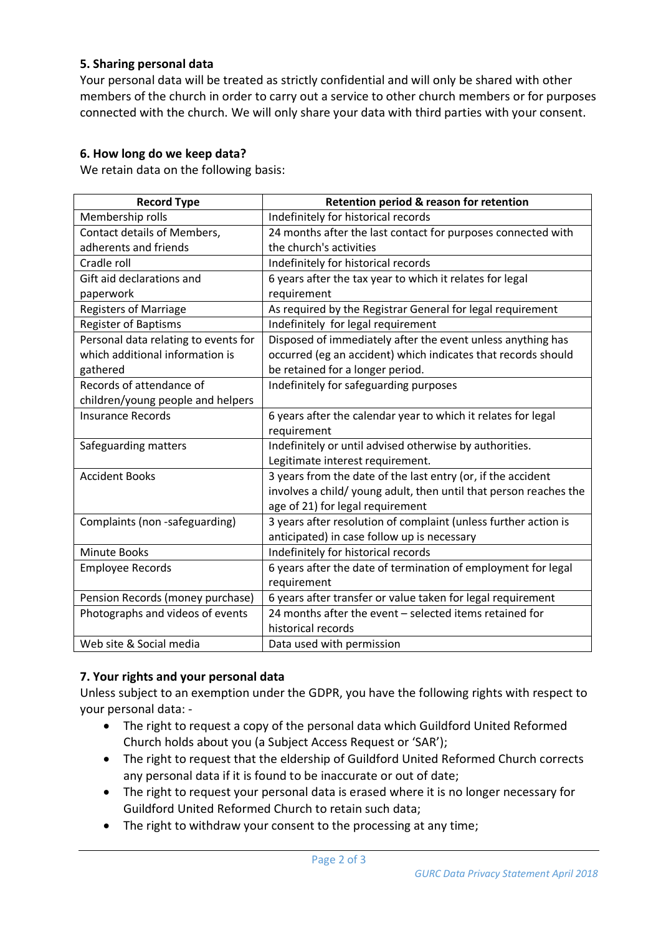## **5. Sharing personal data**

Your personal data will be treated as strictly confidential and will only be shared with other members of the church in order to carry out a service to other church members or for purposes connected with the church. We will only share your data with third parties with your consent.

## **6. How long do we keep data?**

We retain data on the following basis:

| <b>Record Type</b>                   | Retention period & reason for retention                           |
|--------------------------------------|-------------------------------------------------------------------|
| Membership rolls                     | Indefinitely for historical records                               |
| <b>Contact details of Members,</b>   | 24 months after the last contact for purposes connected with      |
| adherents and friends                | the church's activities                                           |
| Cradle roll                          | Indefinitely for historical records                               |
| Gift aid declarations and            | 6 years after the tax year to which it relates for legal          |
| paperwork                            | requirement                                                       |
| <b>Registers of Marriage</b>         | As required by the Registrar General for legal requirement        |
| <b>Register of Baptisms</b>          | Indefinitely for legal requirement                                |
| Personal data relating to events for | Disposed of immediately after the event unless anything has       |
| which additional information is      | occurred (eg an accident) which indicates that records should     |
| gathered                             | be retained for a longer period.                                  |
| Records of attendance of             | Indefinitely for safeguarding purposes                            |
| children/young people and helpers    |                                                                   |
| <b>Insurance Records</b>             | 6 years after the calendar year to which it relates for legal     |
|                                      | requirement                                                       |
| Safeguarding matters                 | Indefinitely or until advised otherwise by authorities.           |
|                                      | Legitimate interest requirement.                                  |
| <b>Accident Books</b>                | 3 years from the date of the last entry (or, if the accident      |
|                                      | involves a child/ young adult, then until that person reaches the |
|                                      | age of 21) for legal requirement                                  |
| Complaints (non-safeguarding)        | 3 years after resolution of complaint (unless further action is   |
|                                      | anticipated) in case follow up is necessary                       |
| <b>Minute Books</b>                  | Indefinitely for historical records                               |
| <b>Employee Records</b>              | 6 years after the date of termination of employment for legal     |
|                                      | requirement                                                       |
| Pension Records (money purchase)     | 6 years after transfer or value taken for legal requirement       |
| Photographs and videos of events     | 24 months after the event - selected items retained for           |
|                                      | historical records                                                |
| Web site & Social media              | Data used with permission                                         |

## **7. Your rights and your personal data**

Unless subject to an exemption under the GDPR, you have the following rights with respect to your personal data: -

- The right to request a copy of the personal data which Guildford United Reformed Church holds about you (a Subject Access Request or 'SAR');
- The right to request that the eldership of Guildford United Reformed Church corrects any personal data if it is found to be inaccurate or out of date;
- The right to request your personal data is erased where it is no longer necessary for Guildford United Reformed Church to retain such data;
- The right to withdraw your consent to the processing at any time;